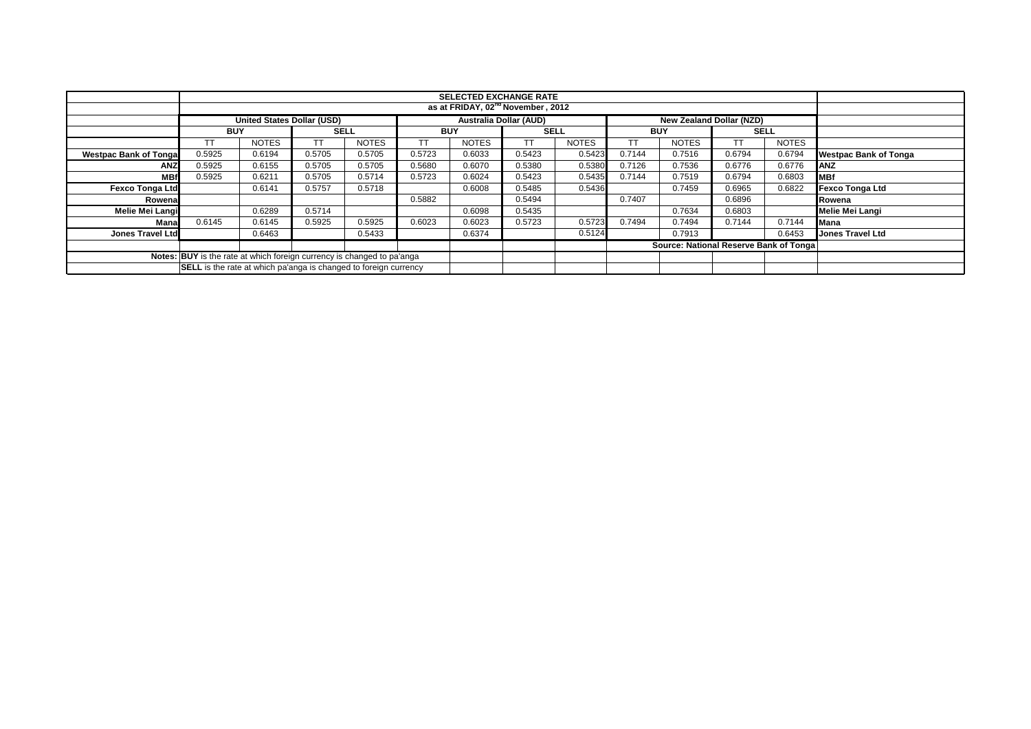|                                                                        |                                                                         |                                               |             |              |            | <b>SELECTED EXCHANGE RATE</b> |             |              |            |                                        |        |              |                              |
|------------------------------------------------------------------------|-------------------------------------------------------------------------|-----------------------------------------------|-------------|--------------|------------|-------------------------------|-------------|--------------|------------|----------------------------------------|--------|--------------|------------------------------|
|                                                                        |                                                                         | as at FRIDAY, 02 <sup>nd</sup> November, 2012 |             |              |            |                               |             |              |            |                                        |        |              |                              |
|                                                                        |                                                                         | <b>United States Dollar (USD)</b>             |             |              |            | <b>Australia Dollar (AUD)</b> |             |              |            | New Zealand Dollar (NZD)               |        |              |                              |
|                                                                        | <b>BUY</b>                                                              |                                               | <b>SELL</b> |              | <b>BUY</b> |                               | <b>SELL</b> |              | <b>BUY</b> |                                        |        | <b>SELL</b>  |                              |
|                                                                        | TT.                                                                     | <b>NOTES</b>                                  |             | <b>NOTES</b> | ТT         | <b>NOTES</b>                  | ТT          | <b>NOTES</b> | TТ         | <b>NOTES</b>                           | TT     | <b>NOTES</b> |                              |
| <b>Westpac Bank of Tonga</b>                                           | 0.5925                                                                  | 0.6194                                        | 0.5705      | 0.5705       | 0.5723     | 0.6033                        | 0.5423      | 0.5423       | 0.7144     | 0.7516                                 | 0.6794 | 0.6794       | <b>Westpac Bank of Tonga</b> |
| <b>ANZ</b>                                                             | 0.5925                                                                  | 0.6155                                        | 0.5705      | 0.5705       | 0.5680     | 0.6070                        | 0.5380      | 0.5380       | 0.7126     | 0.7536                                 | 0.6776 | 0.6776       | <b>ANZ</b>                   |
| <b>MBf</b>                                                             | 0.5925                                                                  | 0.6211                                        | 0.5705      | 0.5714       | 0.5723     | 0.6024                        | 0.5423      | 0.5435       | 0.7144     | 0.7519                                 | 0.6794 | 0.6803       | MBf                          |
| <b>Fexco Tonga Ltd</b>                                                 |                                                                         | 0.6141                                        | 0.5757      | 0.5718       |            | 0.6008                        | 0.5485      | 0.5436       |            | 0.7459                                 | 0.6965 | 0.6822       | <b>Fexco Tonga Ltd</b>       |
| Rowenal                                                                |                                                                         |                                               |             |              | 0.5882     |                               | 0.5494      |              | 0.7407     |                                        | 0.6896 |              | Rowena                       |
| <b>Melie Mei Langi</b>                                                 |                                                                         | 0.6289                                        | 0.5714      |              |            | 0.6098                        | 0.5435      |              |            | 0.7634                                 | 0.6803 |              | Melie Mei Langi              |
| Manal                                                                  | 0.6145                                                                  | 0.6145                                        | 0.5925      | 0.5925       | 0.6023     | 0.6023                        | 0.5723      | 0.5723       | 0.7494     | 0.7494                                 | 0.7144 | 0.7144       | Mana                         |
| Jones Travel Ltd                                                       |                                                                         | 0.6463                                        |             | 0.5433       |            | 0.6374                        |             | 0.5124       |            | 0.7913                                 |        | 0.6453       | <b>Jones Travel Ltd</b>      |
|                                                                        |                                                                         |                                               |             |              |            |                               |             |              |            | Source: National Reserve Bank of Tonga |        |              |                              |
| Notes: BUY is the rate at which foreign currency is changed to pa'anga |                                                                         |                                               |             |              |            |                               |             |              |            |                                        |        |              |                              |
|                                                                        | <b>SELL</b> is the rate at which pa'anga is changed to foreign currency |                                               |             |              |            |                               |             |              |            |                                        |        |              |                              |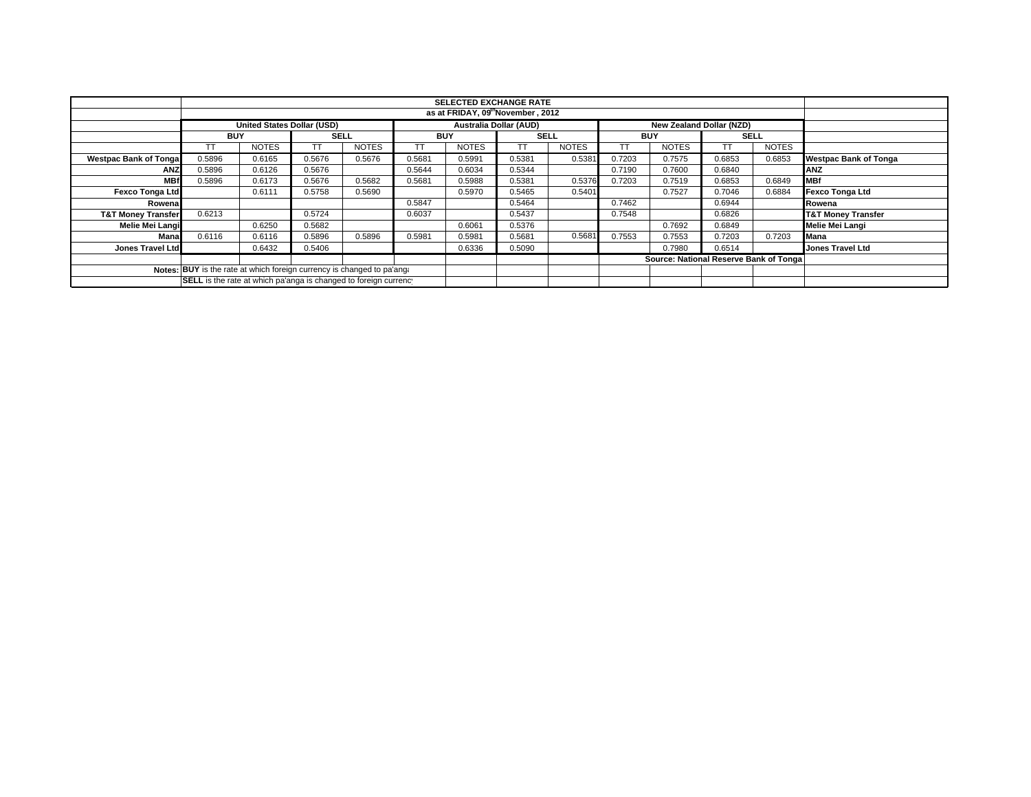|                                                                        |                                               | <b>SELECTED EXCHANGE RATE</b> |             |              |            |                               |             |              |            |                                        |             |              |                               |
|------------------------------------------------------------------------|-----------------------------------------------|-------------------------------|-------------|--------------|------------|-------------------------------|-------------|--------------|------------|----------------------------------------|-------------|--------------|-------------------------------|
|                                                                        | as at FRIDAY, 09 <sup>th</sup> November, 2012 |                               |             |              |            |                               |             |              |            |                                        |             |              |                               |
|                                                                        |                                               | United States Dollar (USD)    |             |              |            | <b>Australia Dollar (AUD)</b> |             |              |            | <b>New Zealand Dollar (NZD)</b>        |             |              |                               |
|                                                                        | <b>BUY</b>                                    |                               | <b>SELL</b> |              | <b>BUY</b> |                               | <b>SELL</b> |              | <b>BUY</b> |                                        | <b>SELL</b> |              |                               |
|                                                                        |                                               | <b>NOTES</b>                  |             | <b>NOTES</b> |            | <b>NOTES</b>                  | TТ          | <b>NOTES</b> | TT         | <b>NOTES</b>                           |             | <b>NOTES</b> |                               |
| <b>Westpac Bank of Tonga</b>                                           | 0.5896                                        | 0.6165                        | 0.5676      | 0.5676       | 0.5681     | 0.5991                        | 0.5381      | 0.5381       | 0.7203     | 0.7575                                 | 0.6853      | 0.6853       | <b>Westpac Bank of Tonga</b>  |
| <b>ANZ</b>                                                             | 0.5896                                        | 0.6126                        | 0.5676      |              | 0.5644     | 0.6034                        | 0.5344      |              | 0.7190     | 0.7600                                 | 0.6840      |              | ANZ                           |
| <b>MBf</b>                                                             | 0.5896                                        | 0.6173                        | 0.5676      | 0.5682       | 0.5681     | 0.5988                        | 0.5381      | 0.5376       | 0.7203     | 0.7519                                 | 0.6853      | 0.6849       | <b>IMBf</b>                   |
| <b>Fexco Tonga Ltd</b>                                                 |                                               | 0.6111                        | 0.5758      | 0.5690       |            | 0.5970                        | 0.5465      | 0.5401       |            | 0.7527                                 | 0.7046      | 0.6884       | Fexco Tonga Ltd               |
| Rowena                                                                 |                                               |                               |             |              | 0.5847     |                               | 0.5464      |              | 0.7462     |                                        | 0.6944      |              | Rowena                        |
| <b>T&amp;T Money Transfer</b>                                          | 0.6213                                        |                               | 0.5724      |              | 0.6037     |                               | 0.5437      |              | 0.7548     |                                        | 0.6826      |              | <b>T&amp;T Money Transfer</b> |
| Melie Mei Langi                                                        |                                               | 0.6250                        | 0.5682      |              |            | 0.6061                        | 0.5376      |              |            | 0.7692                                 | 0.6849      |              | Melie Mei Langi               |
| Mana                                                                   | 0.6116                                        | 0.6116                        | 0.5896      | 0.5896       | 0.5981     | 0.5981                        | 0.5681      | 0.5681       | 0.7553     | 0.7553                                 | 0.7203      | 0.7203       | <b>Mana</b>                   |
| <b>Jones Travel Ltd</b>                                                |                                               | 0.6432                        | 0.5406      |              |            | 0.6336                        | 0.5090      |              |            | 0.7980                                 | 0.6514      |              | <b>Jones Travel Ltd</b>       |
|                                                                        |                                               |                               |             |              |            |                               |             |              |            | Source: National Reserve Bank of Tonga |             |              |                               |
| Notes: BUY is the rate at which foreign currency is changed to pa'ang: |                                               |                               |             |              |            |                               |             |              |            |                                        |             |              |                               |
| SELL is the rate at which pa'anga is changed to foreign currency       |                                               |                               |             |              |            |                               |             |              |            |                                        |             |              |                               |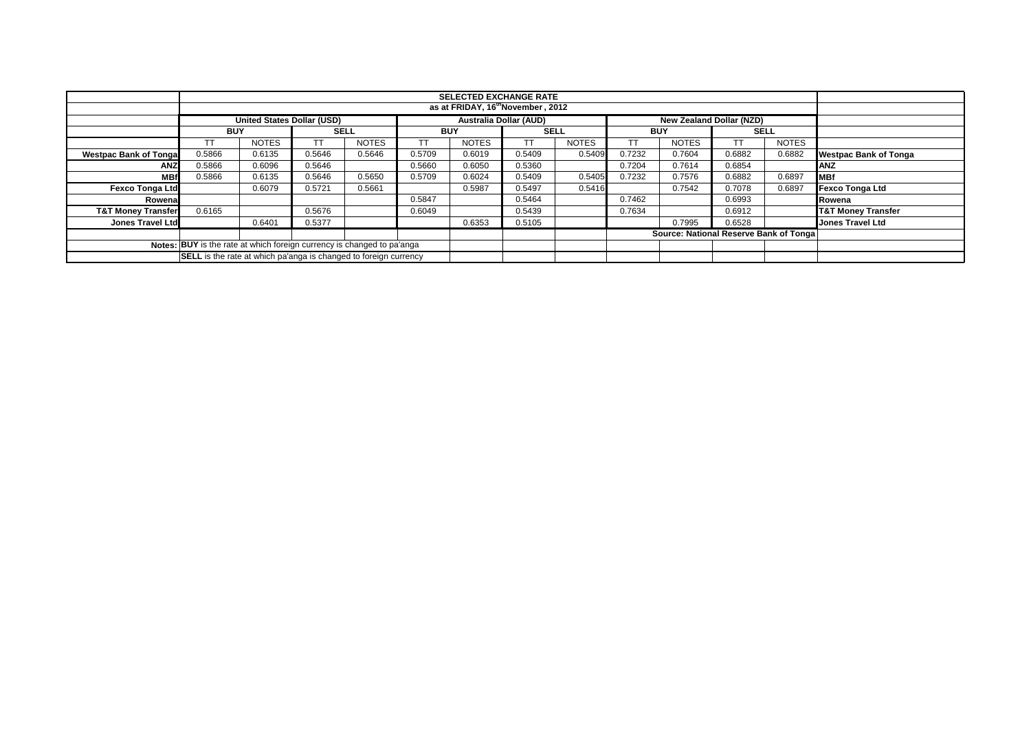|                               |                                                                                                |                                               |             |              |            | <b>SELECTED EXCHANGE RATE</b> |             |              |            |                                        |             |              |                               |
|-------------------------------|------------------------------------------------------------------------------------------------|-----------------------------------------------|-------------|--------------|------------|-------------------------------|-------------|--------------|------------|----------------------------------------|-------------|--------------|-------------------------------|
|                               |                                                                                                | as at FRIDAY, 16 <sup>th</sup> November, 2012 |             |              |            |                               |             |              |            |                                        |             |              |                               |
|                               | <b>Australia Dollar (AUD)</b><br>United States Dollar (USD)<br><b>New Zealand Dollar (NZD)</b> |                                               |             |              |            |                               |             |              |            |                                        |             |              |                               |
|                               | <b>BUY</b>                                                                                     |                                               | <b>SELL</b> |              | <b>BUY</b> |                               | <b>SELL</b> |              | <b>BUY</b> |                                        | <b>SELL</b> |              |                               |
|                               |                                                                                                | <b>NOTES</b>                                  |             | <b>NOTES</b> |            | <b>NOTES</b>                  |             | <b>NOTES</b> |            | <b>NOTES</b>                           | <b>TT</b>   | <b>NOTES</b> |                               |
| <b>Westpac Bank of Tonga</b>  | 0.5866                                                                                         | 0.6135                                        | 0.5646      | 0.5646       | 0.5709     | 0.6019                        | 0.5409      | 0.5409       | 0.7232     | 0.7604                                 | 0.6882      | 0.6882       | <b>Westpac Bank of Tonga</b>  |
| <b>ANZ</b>                    | 0.5866                                                                                         | 0.6096                                        | 0.5646      |              | 0.5660     | 0.6050                        | 0.5360      |              | 0.7204     | 0.7614                                 | 0.6854      |              | <b>ANZ</b>                    |
| <b>MB</b>                     | 0.5866                                                                                         | 0.6135                                        | 0.5646      | 0.5650       | 0.5709     | 0.6024                        | 0.5409      | 0.5405       | 0.7232     | 0.7576                                 | 0.6882      | 0.6897       | <b>MBf</b>                    |
| <b>Fexco Tonga Ltd</b>        |                                                                                                | 0.6079                                        | 0.5721      | 0.5661       |            | 0.5987                        | 0.5497      | 0.5416       |            | 0.7542                                 | 0.7078      | 0.6897       | <b>Fexco Tonga Ltd</b>        |
| Rowena                        |                                                                                                |                                               |             |              | 0.5847     |                               | 0.5464      |              | 0.7462     |                                        | 0.6993      |              | Rowena                        |
| <b>T&amp;T Money Transfer</b> | 0.6165                                                                                         |                                               | 0.5676      |              | 0.6049     |                               | 0.5439      |              | 0.7634     |                                        | 0.6912      |              | <b>T&amp;T Money Transfer</b> |
| <b>Jones Travel Ltd</b>       |                                                                                                | 0.6401                                        | 0.5377      |              |            | 0.6353                        | 0.5105      |              |            | 0.7995                                 | 0.6528      |              | Jones Travel Ltd              |
|                               |                                                                                                |                                               |             |              |            |                               |             |              |            | Source: National Reserve Bank of Tonga |             |              |                               |
|                               | Notes: BUY is the rate at which foreign currency is changed to pa'anga                         |                                               |             |              |            |                               |             |              |            |                                        |             |              |                               |
|                               | <b>SELL</b> is the rate at which pa'anga is changed to foreign currency                        |                                               |             |              |            |                               |             |              |            |                                        |             |              |                               |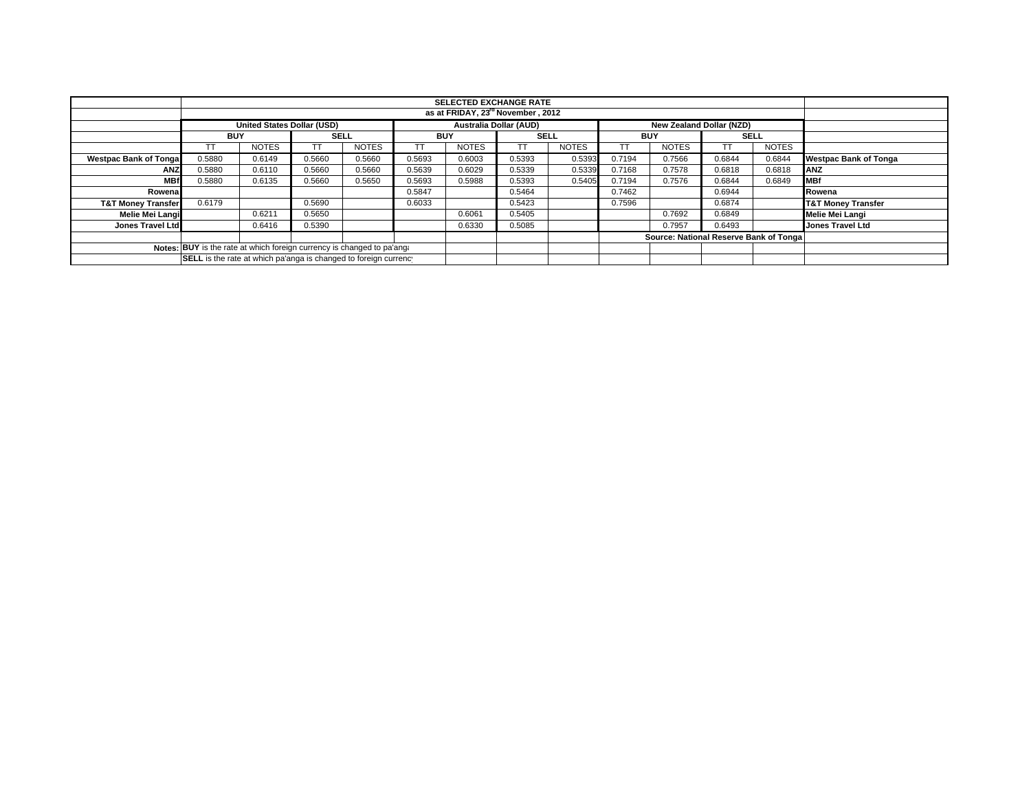|                                                                        | <b>SELECTED EXCHANGE RATE</b>                                    |                                   |             |              |            |                               |             |              |            |                                        |             |              |                               |
|------------------------------------------------------------------------|------------------------------------------------------------------|-----------------------------------|-------------|--------------|------------|-------------------------------|-------------|--------------|------------|----------------------------------------|-------------|--------------|-------------------------------|
| as at FRIDAY, 23 <sup>rd</sup> November, 2012                          |                                                                  |                                   |             |              |            |                               |             |              |            |                                        |             |              |                               |
|                                                                        |                                                                  | <b>United States Dollar (USD)</b> |             |              |            | <b>Australia Dollar (AUD)</b> |             |              |            | New Zealand Dollar (NZD)               |             |              |                               |
|                                                                        | <b>BUY</b>                                                       |                                   | <b>SELL</b> |              | <b>BUY</b> |                               | <b>SELL</b> |              | <b>BUY</b> |                                        | <b>SELL</b> |              |                               |
|                                                                        | TТ                                                               | <b>NOTES</b>                      |             | <b>NOTES</b> | тт         | <b>NOTES</b>                  | ТT          | <b>NOTES</b> |            | <b>NOTES</b>                           |             | <b>NOTES</b> |                               |
| <b>Westpac Bank of Tongal</b>                                          | 0.5880                                                           | 0.6149                            | 0.5660      | 0.5660       | 0.5693     | 0.6003                        | 0.5393      | 0.5393       | 0.7194     | 0.7566                                 | 0.6844      | 0.6844       | <b>Westpac Bank of Tonga</b>  |
| <b>ANZ</b>                                                             | 0.5880                                                           | 0.6110                            | 0.5660      | 0.5660       | 0.5639     | 0.6029                        | 0.5339      | 0.5339       | 0.7168     | 0.7578                                 | 0.6818      | 0.6818       | ANZ                           |
| <b>MBf</b>                                                             | 0.5880                                                           | 0.6135                            | 0.5660      | 0.5650       | 0.5693     | 0.5988                        | 0.5393      | 0.5405       | 0.7194     | 0.7576                                 | 0.6844      | 0.6849       | <b>MBf</b>                    |
| Rowenal                                                                |                                                                  |                                   |             |              | 0.5847     |                               | 0.5464      |              | 0.7462     |                                        | 0.6944      |              | Rowena                        |
| <b>T&amp;T Money Transfer</b>                                          | 0.6179                                                           |                                   | 0.5690      |              | 0.6033     |                               | 0.5423      |              | 0.7596     |                                        | 0.6874      |              | <b>T&amp;T Money Transfer</b> |
| Melie Mei Langi                                                        |                                                                  | 0.6211                            | 0.5650      |              |            | 0.6061                        | 0.5405      |              |            | 0.7692                                 | 0.6849      |              | Melie Mei Langi               |
| Jones Travel Ltd                                                       |                                                                  | 0.6416                            | 0.5390      |              |            | 0.6330                        | 0.5085      |              |            | 0.7957                                 | 0.6493      |              | <b>Jones Travel Ltd</b>       |
|                                                                        |                                                                  |                                   |             |              |            |                               |             |              |            | Source: National Reserve Bank of Tonga |             |              |                               |
| Notes: BUY is the rate at which foreign currency is changed to pa'ang: |                                                                  |                                   |             |              |            |                               |             |              |            |                                        |             |              |                               |
|                                                                        | SELL is the rate at which pa'anga is changed to foreign currency |                                   |             |              |            |                               |             |              |            |                                        |             |              |                               |